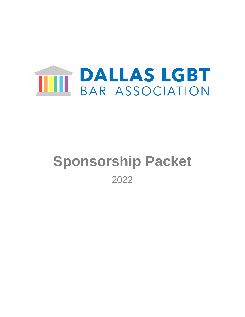

# **Sponsorship Packet** 2022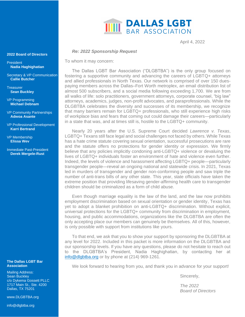# **THE DALLAS LGBT**

April 4, 2022

#### *Re: 2022 Sponsorship Request*

To whom it may concern:

The Dallas LGBT Bar Association ("DLGBTBA") is the only group focused on fostering a supportive community and advancing the careers of LGBTQ+ attorneys and allied professionals in North Texas. Our network is comprised of over 150 duespaying members across the Dallas–Fort Worth metroplex, an email distribution list of almost 500 subscribers, and a social media following exceeding 1,700. We are from all walks of life: solo practitioners, government attorneys, corporate counsel, "big law" attorneys, academics, judges, non-profit advocates, and paraprofessionals. While the DLGBTBA celebrates the diversity and successes of its membership, we recognize that many barriers remain for LGBTQ+ professionals, who still experience high risks of workplace bias and fears that coming out could damage their careers—particularly in a state that was, and at times still is, hostile to the LGBTQ+ community.

Nearly 20 years after the U.S. Supreme Court decided *Lawrence v. Texas*, LGBTQ+ Texans still face legal and social challenges not faced by others. While Texas has a hate crime statute covering sexual orientation, successful prosecutions are rare and the statute offers no protections for gender identity or expression. We firmly believe that any policies implicitly condoning anti-LGBTQ+ violence or devaluing the lives of LGBTQ+ individuals foster an environment of hate and violence even further. Indeed, the levels of violence and harassment affecting LGBTQ+ people—particularly transgender people—reveal an ongoing national and statewide crisis. In 2021, Texas led in murders of transgender and gender non-conforming people and saw triple the number of anti-trans bills of any other state. This year, state officials have taken the extreme position that providing lifesaving gender-affirming health care to transgender children should be criminalized as a form of child abuse.

Even though marriage equality is the law of the land, and the law now prohibits employment discrimination based on sexual orientation or gender identity, Texas has yet to adopt a blanket prohibition on anti-LGBTQ+ discrimination. Without explicit, universal protections for the LGBTQ+ community from discrimination in employment, housing, and public accommodations, organizations like the DLGBTBA are often the only accepting place our members can genuinely be themselves. All of this, however, is only possible with support from institutions like yours.

To that end, we ask that you to show your support by sponsoring the DLGBTBA at any level for 2022. Included in this packet is more information on the DLGBTBA and our sponsorship levels. If you have any questions, please do not hesitate to reach out to the DLGBTBA's President, Nadia Haghighatian, by contacting her at [info@dlgbtba.org](mailto:info@dlgbtba.org) or by phone at (214) 969-1261.

We look forward to hearing from you, and thank you in advance for your support!

Sincerely,

*The 2022 Board of Directors*

#### **2022 Board of Directors**

President **Nadia Haghighatian**

Secretary & VP Communication **Callie Butcher**

**Treasurer Sean Buckley**

VP Programming **Michael Debnam**

VP Community Partnerships **Adwoa Asante**

VP Professional Development **Karri Bertrand**

VP Membership **Elissa Wev**

Immediate Past-President **Derek Mergele-Rust**

#### **The Dallas LGBT Bar Association**

Mailing Address: Sean Buckley c/o Dykema Gossett PLLC 1717 Main St., Ste. 4200 Dallas, TX 75201

www.DLGBTBA.org

info@dlgbtba.org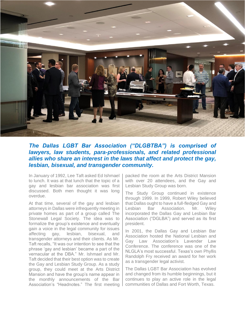

#### *The Dallas LGBT Bar Association ("DLGBTBA") is comprised of lawyers, law students, para-professionals, and related professional allies who share an interest in the laws that affect and protect the gay, lesbian, bisexual, and transgender community.*

In January of 1992, Lee Taft asked Ed Ishmael to lunch. It was at that lunch that the topic of a gay and lesbian bar association was first discussed. Both men thought it was long overdue.

At that time, several of the gay and lesbian attorneys in Dallas were infrequently meeting in private homes as part of a group called The Stonewall Legal Society. The idea was to formalize the group's existence and eventually gain a voice in the legal community for issues affecting gay, lesbian, bisexual, and transgender attorneys and their clients. As Mr. Taft recalls, "It was our intention to see that the phrase 'gay and lesbian' became a part of the vernacular at the DBA." Mr. Ishmael and Mr. Taft decided that their best option was to create the Gay and Lesbian Study Group. As a study group, they could meet at the Arts District Mansion and have the group's name appear in the monthly announcements of the Bar Association's "Headnotes." The first meeting packed the room at the Arts District Mansion with over 20 attendees, and the Gay and Lesbian Study Group was born.

The Study Group continued in existence through 1999. In 1999, Robert Wiley believed that Dallas ought to have a full-fledged Gay and Lesbian Bar Association. Mr. Wiley incorporated the Dallas Gay and Lesbian Bar Association ("DGLBA") and served as its first president.

In 2001, the Dallas Gay and Lesbian Bar Association hosted the National Lesbian and Gay Law Association's Lavender Law Conference. The conference was one of the NLGLA's most successful. Texas's own Phyllis Randolph Fry received an award for her work as a transgender legal activist.

The Dallas LGBT Bar Association has evolved and changed from its humble beginnings, but it continues to play an active role in the legal communities of Dallas and Fort Worth, Texas.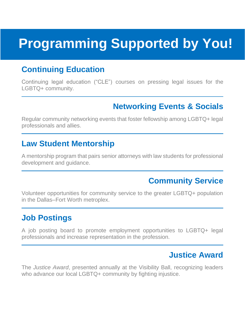# **Programming Supported by You!**

## **Continuing Education**

Continuing legal education ("CLE") courses on pressing legal issues for the LGBTQ+ community.

## **Networking Events & Socials**

Regular community networking events that foster fellowship among LGBTQ+ legal professionals and allies.

#### **Law Student Mentorship**

A mentorship program that pairs senior attorneys with law students for professional development and guidance.

## **Community Service**

Volunteer opportunities for community service to the greater LGBTQ+ population in the Dallas–Fort Worth metroplex.

## **Job Postings**

A job posting board to promote employment opportunities to LGBTQ+ legal professionals and increase representation in the profession.

## **Justice Award**

The *Justice Award*, presented annually at the Visibility Ball, recognizing leaders who advance our local LGBTQ+ community by fighting injustice.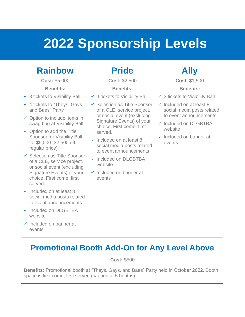# **2022 Sponsorship Levels**

## **Rainbow**

**Cost:** \$5,000

**Benefits:**

- $\checkmark$  8 tickets to Visibility Ball
- $\checkmark$  4 tickets to "Theys, Gays, and Baes" Party
- ✓ Option to include items in swag bag at Visibility Ball
- $\checkmark$  Option to add the Title Sponsor for Visibility Ball for \$5,000 (\$2,500 off regular price)
- ✓ Selection as Title Sponsor of a CLE, service project, or social event (excluding Signature Events) of your choice. First come, first served.
- $\checkmark$  Included on at least 8 social media posts related to event announcements
- ✓ Included on DLGBTBA website
- $\checkmark$  Included on banner at events

## **Pride**

**Cost:** \$2,500

#### **Benefits:**

- $\checkmark$  4 tickets to Visibility Ball
- ✓ Selection as Title Sponsor of a CLE, service project, or social event (excluding Signature Events) of your choice. First come, first served.
- $\checkmark$  Included on at least 8 social media posts related to event announcements
- ✓ Included on DLGBTBA website
- ✓ Included on banner at events

## **Ally**

**Cost:** \$1,500

#### **Benefits:**

- $\checkmark$  2 tickets to Visibility Ball
- $\checkmark$  Included on at least 8 social media posts related to event announcements
- ✓ Included on DLGBTBA website
- ✓ Included on banner at events

## **Promotional Booth Add-On for Any Level Above**

**Cost:** \$500

**Benefits:** Promotional booth at "Theys, Gays, and Baes" Party held in October 2022. Booth space is first come, first served (capped at 5 booths).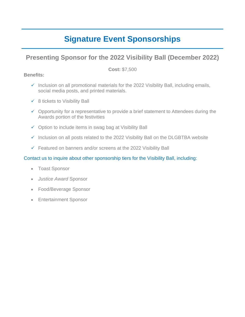## **Signature Event Sponsorships**

#### **Presenting Sponsor for the 2022 Visibility Ball (December 2022)**

**Cost:** \$7,500

#### **Benefits:**

- $\checkmark$  Inclusion on all promotional materials for the 2022 Visibility Ball, including emails, social media posts, and printed materials.
- $\checkmark$  8 tickets to Visibility Ball
- $\checkmark$  Opportunity for a representative to provide a brief statement to Attendees during the Awards portion of the festivities
- $\checkmark$  Option to include items in swag bag at Visibility Ball
- ✓ Inclusion on all posts related to the 2022 Visibility Ball on the DLGBTBA website
- ✓ Featured on banners and/or screens at the 2022 Visibility Ball

#### Contact us to inquire about other sponsorship tiers for the Visibility Ball, including:

- Toast Sponsor
- *Justice Award* Sponsor
- Food/Beverage Sponsor
- Entertainment Sponsor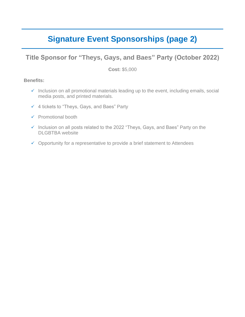## **Signature Event Sponsorships (page 2)**

#### **Title Sponsor for "Theys, Gays, and Baes" Party (October 2022)**

**Cost:** \$5,000

#### **Benefits:**

- ✓ Inclusion on all promotional materials leading up to the event, including emails, social media posts, and printed materials.
- ✓ 4 tickets to "Theys, Gays, and Baes" Party
- ✓ Promotional booth
- ✓ Inclusion on all posts related to the 2022 "Theys, Gays, and Baes" Party on the DLGBTBA website
- $\checkmark$  Opportunity for a representative to provide a brief statement to Attendees